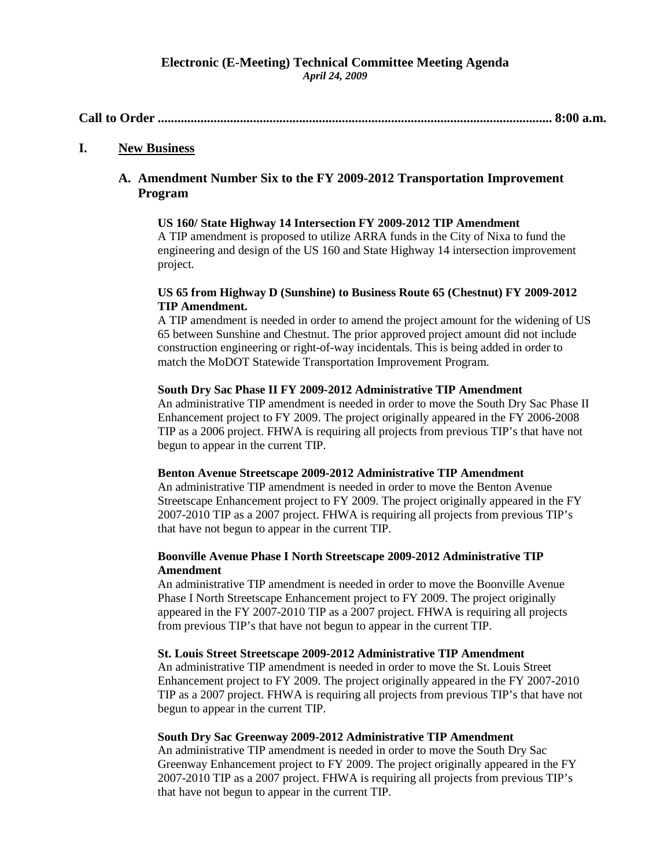## **Electronic (E-Meeting) Technical Committee Meeting Agenda** *April 24, 2009*

**Call to Order ........................................................................................................................ 8:00 a.m.**

# **I. New Business**

# **A. Amendment Number Six to the FY 2009-2012 Transportation Improvement Program**

# **US 160/ State Highway 14 Intersection FY 2009-2012 TIP Amendment**

A TIP amendment is proposed to utilize ARRA funds in the City of Nixa to fund the engineering and design of the US 160 and State Highway 14 intersection improvement project.

# **US 65 from Highway D (Sunshine) to Business Route 65 (Chestnut) FY 2009-2012 TIP Amendment.**

A TIP amendment is needed in order to amend the project amount for the widening of US 65 between Sunshine and Chestnut. The prior approved project amount did not include construction engineering or right-of-way incidentals. This is being added in order to match the MoDOT Statewide Transportation Improvement Program.

## **South Dry Sac Phase II FY 2009-2012 Administrative TIP Amendment**

An administrative TIP amendment is needed in order to move the South Dry Sac Phase II Enhancement project to FY 2009. The project originally appeared in the FY 2006-2008 TIP as a 2006 project. FHWA is requiring all projects from previous TIP's that have not begun to appear in the current TIP.

### **Benton Avenue Streetscape 2009-2012 Administrative TIP Amendment**

An administrative TIP amendment is needed in order to move the Benton Avenue Streetscape Enhancement project to FY 2009. The project originally appeared in the FY 2007-2010 TIP as a 2007 project. FHWA is requiring all projects from previous TIP's that have not begun to appear in the current TIP.

# **Boonville Avenue Phase I North Streetscape 2009-2012 Administrative TIP Amendment**

An administrative TIP amendment is needed in order to move the Boonville Avenue Phase I North Streetscape Enhancement project to FY 2009. The project originally appeared in the FY 2007-2010 TIP as a 2007 project. FHWA is requiring all projects from previous TIP's that have not begun to appear in the current TIP.

### **St. Louis Street Streetscape 2009-2012 Administrative TIP Amendment**

An administrative TIP amendment is needed in order to move the St. Louis Street Enhancement project to FY 2009. The project originally appeared in the FY 2007-2010 TIP as a 2007 project. FHWA is requiring all projects from previous TIP's that have not begun to appear in the current TIP.

## **South Dry Sac Greenway 2009-2012 Administrative TIP Amendment**

An administrative TIP amendment is needed in order to move the South Dry Sac Greenway Enhancement project to FY 2009. The project originally appeared in the FY 2007-2010 TIP as a 2007 project. FHWA is requiring all projects from previous TIP's that have not begun to appear in the current TIP.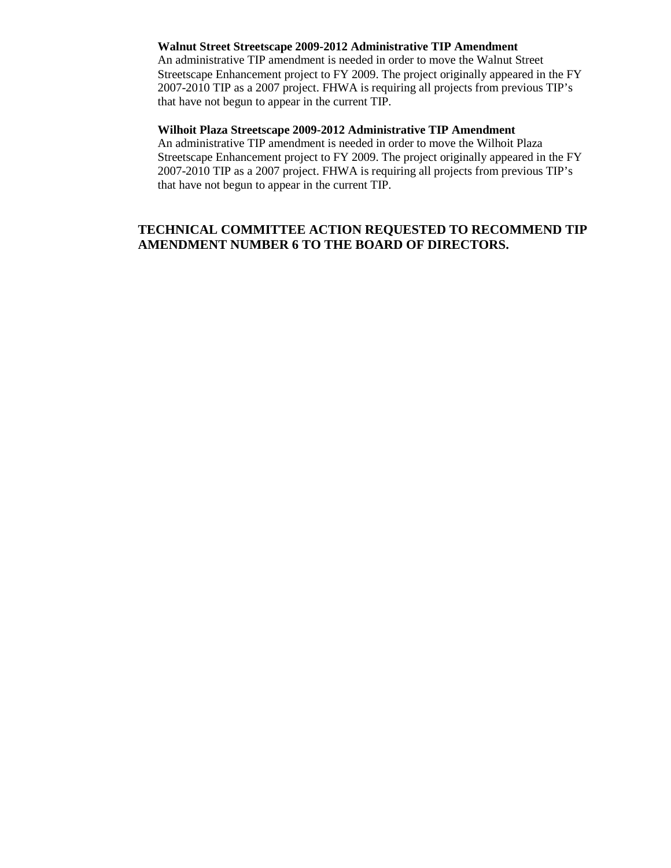## **Walnut Street Streetscape 2009-2012 Administrative TIP Amendment**

An administrative TIP amendment is needed in order to move the Walnut Street Streetscape Enhancement project to FY 2009. The project originally appeared in the FY 2007-2010 TIP as a 2007 project. FHWA is requiring all projects from previous TIP's that have not begun to appear in the current TIP.

# **Wilhoit Plaza Streetscape 2009-2012 Administrative TIP Amendment**

An administrative TIP amendment is needed in order to move the Wilhoit Plaza Streetscape Enhancement project to FY 2009. The project originally appeared in the FY 2007-2010 TIP as a 2007 project. FHWA is requiring all projects from previous TIP's that have not begun to appear in the current TIP.

# **TECHNICAL COMMITTEE ACTION REQUESTED TO RECOMMEND TIP AMENDMENT NUMBER 6 TO THE BOARD OF DIRECTORS.**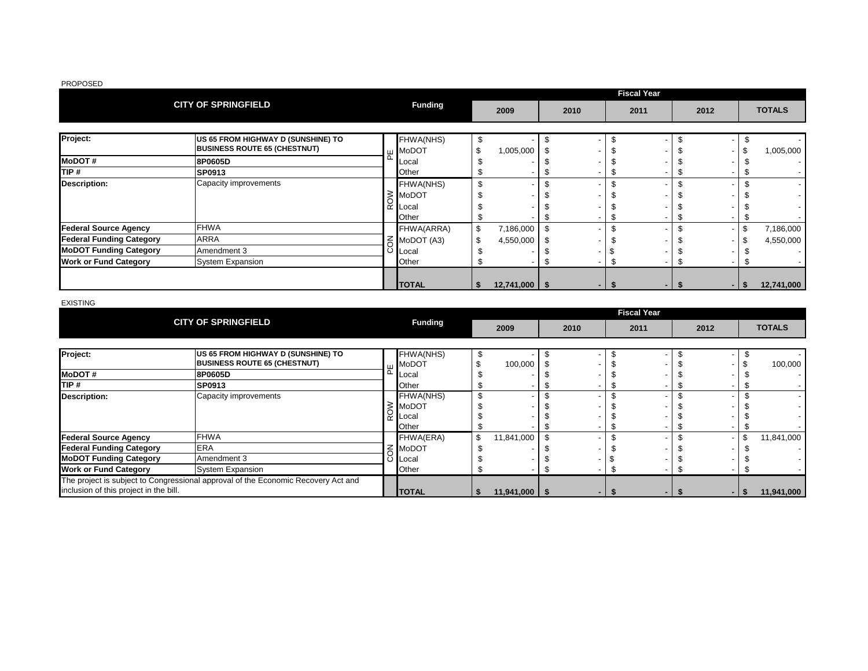|                                 |                                                                           |   |                           |                   |      |      |      | <b>Fiscal Year</b> |      |     |    |               |
|---------------------------------|---------------------------------------------------------------------------|---|---------------------------|-------------------|------|------|------|--------------------|------|-----|----|---------------|
|                                 | <b>CITY OF SPRINGFIELD</b>                                                |   | <b>Funding</b>            | 2009              |      | 2010 | 2011 |                    | 2012 |     |    | <b>TOTALS</b> |
| Project:                        | US 65 FROM HIGHWAY D (SUNSHINE) TO<br><b>BUSINESS ROUTE 65 (CHESTNUT)</b> | ш | FHWA(NHS)<br><b>MoDOT</b> | \$<br>1,005,000   | \$.  |      |      |                    |      |     |    | 1,005,000     |
| <b>MoDOT#</b>                   | 8P0605D                                                                   |   | Local                     |                   |      |      |      |                    |      |     |    |               |
| TIP #                           | SP0913                                                                    |   | Other                     |                   |      |      |      |                    |      |     |    |               |
| <b>Description:</b>             | Capacity improvements                                                     |   | FHWA(NHS)                 |                   |      |      |      |                    |      |     |    |               |
|                                 |                                                                           |   | MoDOT                     |                   |      |      |      |                    |      |     |    |               |
|                                 |                                                                           |   | ⊘MoDC<br>R Local          |                   |      |      |      |                    |      |     |    |               |
|                                 |                                                                           |   | Other                     |                   |      |      |      |                    |      |     |    |               |
| <b>Federal Source Agency</b>    | <b>FHWA</b>                                                               |   | FHWA(ARRA)                | \$<br>7,186,000   | Ŝ.   |      |      |                    |      |     | \$ | 7,186,000     |
| <b>Federal Funding Category</b> | <b>ARRA</b>                                                               |   | MoDOT (A3)                | 4,550,000         | - \$ |      |      |                    |      |     |    | 4,550,000     |
| <b>MoDOT Funding Category</b>   | Amendment 3                                                               | ပ | _ocal                     |                   |      |      |      |                    |      |     |    |               |
| <b>Work or Fund Category</b>    | <b>System Expansion</b>                                                   |   | Other                     |                   |      |      |      |                    |      |     |    |               |
|                                 |                                                                           |   | <b>TOTAL</b>              | $12,741,000$ \ \$ |      |      |      |                    |      | . . | ъ. | 12,741,000    |

EXISTING

|                                                                                   | <b>CITY OF SPRINGFIELD</b>          |                |                   |      | <b>Fiscal Year</b> |                          |    |               |
|-----------------------------------------------------------------------------------|-------------------------------------|----------------|-------------------|------|--------------------|--------------------------|----|---------------|
|                                                                                   |                                     | <b>Funding</b> | 2009              | 2010 | 2011               | 2012                     |    | <b>TOTALS</b> |
|                                                                                   |                                     |                |                   |      |                    |                          |    |               |
| Project:                                                                          | US 65 FROM HIGHWAY D (SUNSHINE) TO  | FHWA(NHS)      |                   |      |                    | $\overline{\phantom{0}}$ |    |               |
|                                                                                   | <b>BUSINESS ROUTE 65 (CHESTNUT)</b> | <b>MoDOT</b>   | 100,000           |      |                    |                          |    | 100,000       |
| <b>MoDOT#</b>                                                                     | 8P0605D                             | Local          |                   |      |                    |                          |    |               |
| TIP #                                                                             | <b>SP0913</b>                       | Other          |                   |      |                    |                          |    |               |
| <b>Description:</b>                                                               | Capacity improvements               | FHWA(NHS)      |                   |      |                    |                          |    |               |
|                                                                                   |                                     | ∶ MoDOT        |                   |      |                    |                          |    |               |
|                                                                                   |                                     | iii Local      |                   |      |                    |                          |    |               |
|                                                                                   |                                     | Other          |                   |      |                    |                          |    |               |
| <b>Federal Source Agency</b>                                                      | <b>FHWA</b>                         | FHWA(ERA)      | 11,841,000        |      |                    | $\overline{\phantom{0}}$ | \$ | 11,841,000    |
| <b>Federal Funding Category</b>                                                   | <b>ERA</b>                          | MoDOT          |                   |      |                    |                          |    |               |
| <b>MoDOT Funding Category</b>                                                     | Amendment 3                         | ⊖ Local        |                   |      |                    |                          |    |               |
| <b>Work or Fund Category</b>                                                      | <b>System Expansion</b>             | Other          |                   |      |                    |                          |    |               |
| The project is subject to Congressional approval of the Economic Recovery Act and |                                     |                |                   |      |                    |                          |    |               |
| inclusion of this project in the bill.                                            |                                     | <b>ITOTAL</b>  | $11,941,000$   \$ |      |                    | . .                      | -S | 11,941,000    |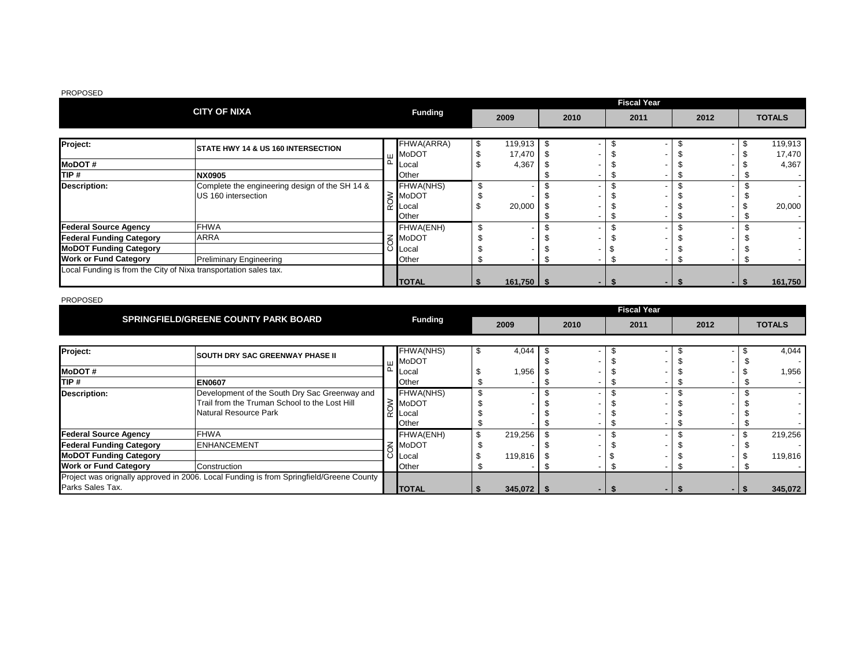|                                                                  |                                                |                  |               |     |      | <b>Fiscal Year</b> |      |     |               |
|------------------------------------------------------------------|------------------------------------------------|------------------|---------------|-----|------|--------------------|------|-----|---------------|
|                                                                  | <b>CITY OF NIXA</b>                            | <b>Funding</b>   | 2009          |     | 2010 | 2011               | 2012 |     | <b>TOTALS</b> |
|                                                                  |                                                |                  |               |     |      |                    |      |     |               |
| Project:                                                         | STATE HWY 14 & US 160 INTERSECTION             | FHWA(ARRA)       | \$<br>119,913 | -\$ |      |                    |      | \$  | 119,913       |
|                                                                  |                                                | <b>III</b> MoDOT | 17,470        |     |      |                    |      |     | 17,470        |
| <b>MoDOT#</b>                                                    |                                                | <b>Local</b>     | 4,367         |     |      |                    |      |     | 4,367         |
| TIP #                                                            | <b>NX0905</b>                                  | Other            |               |     |      |                    |      |     |               |
| <b>Description:</b>                                              | Complete the engineering design of the SH 14 & | FHWA(NHS)        |               |     |      |                    |      |     |               |
|                                                                  | US 160 intersection                            | MoDOT            |               |     |      |                    |      |     |               |
|                                                                  |                                                | Local            | 20,000        |     |      |                    |      |     | 20,000        |
|                                                                  |                                                | Other            |               |     |      |                    |      |     |               |
| <b>Federal Source Agency</b>                                     | <b>FHWA</b>                                    | FHWA(ENH)        |               |     |      |                    |      |     |               |
| <b>Federal Funding Category</b>                                  | <b>ARRA</b>                                    | MoDOT            |               |     |      |                    |      |     |               |
| <b>MoDOT Funding Category</b>                                    |                                                | O Local          |               |     |      |                    |      |     |               |
| <b>Work or Fund Category</b>                                     | <b>Preliminary Engineering</b>                 | Other            |               |     |      |                    |      |     |               |
| Local Funding is from the City of Nixa transportation sales tax. |                                                |                  |               |     |      |                    |      |     |               |
|                                                                  |                                                | <b>TOTAL</b>     | $161,750$ \$  |     |      |                    |      | -15 | 161,750       |

|                                                                                         | <b>SPRINGFIELD/GREENE COUNTY PARK BOARD</b>   |  |                |    |                |  |      |      | <b>Fiscal Year</b> |      |  |               |
|-----------------------------------------------------------------------------------------|-----------------------------------------------|--|----------------|----|----------------|--|------|------|--------------------|------|--|---------------|
|                                                                                         |                                               |  | <b>Funding</b> |    | 2009           |  | 2010 | 2011 |                    | 2012 |  | <b>TOTALS</b> |
|                                                                                         |                                               |  |                |    |                |  |      |      |                    |      |  |               |
| Project:                                                                                | <b>SOUTH DRY SAC GREENWAY PHASE II</b>        |  | FHWA(NHS)      | \$ | 4,044          |  |      |      |                    |      |  | 4,044         |
| <b>MoDOT#</b>                                                                           |                                               |  | MoDOT<br>Local |    | 1,956          |  |      |      |                    |      |  | 1,956         |
| TIP #                                                                                   | <b>EN0607</b>                                 |  | Other          |    |                |  |      |      |                    |      |  |               |
| <b>Description:</b>                                                                     | Development of the South Dry Sac Greenway and |  | FHWA(NHS)      |    |                |  |      |      |                    |      |  |               |
|                                                                                         | Trail from the Truman School to the Lost Hill |  | ≶ IMoDOT       |    |                |  |      |      |                    |      |  |               |
|                                                                                         | Natural Resource Park                         |  | Local          |    |                |  |      |      |                    |      |  |               |
|                                                                                         |                                               |  | Other          |    |                |  |      |      |                    |      |  |               |
| <b>Federal Source Agency</b>                                                            | <b>FHWA</b>                                   |  | FHWA(ENH)      |    | 219,256        |  |      |      |                    |      |  | 219,256       |
| <b>Federal Funding Category</b>                                                         | <b>ENHANCEMENT</b>                            |  | MoDOT          |    |                |  |      |      |                    |      |  |               |
| <b>MoDOT Funding Category</b>                                                           |                                               |  | <b>Local</b>   |    | 119,816        |  |      |      |                    |      |  | 119,816       |
| <b>Work or Fund Category</b>                                                            | Construction                                  |  | Other          |    |                |  |      |      |                    |      |  |               |
| Project was orignally approved in 2006. Local Funding is from Springfield/Greene County |                                               |  |                |    |                |  |      |      |                    |      |  |               |
| Parks Sales Tax.                                                                        |                                               |  | <b>ITOTAL</b>  |    | $345,072$   \$ |  |      |      |                    |      |  | 345,072       |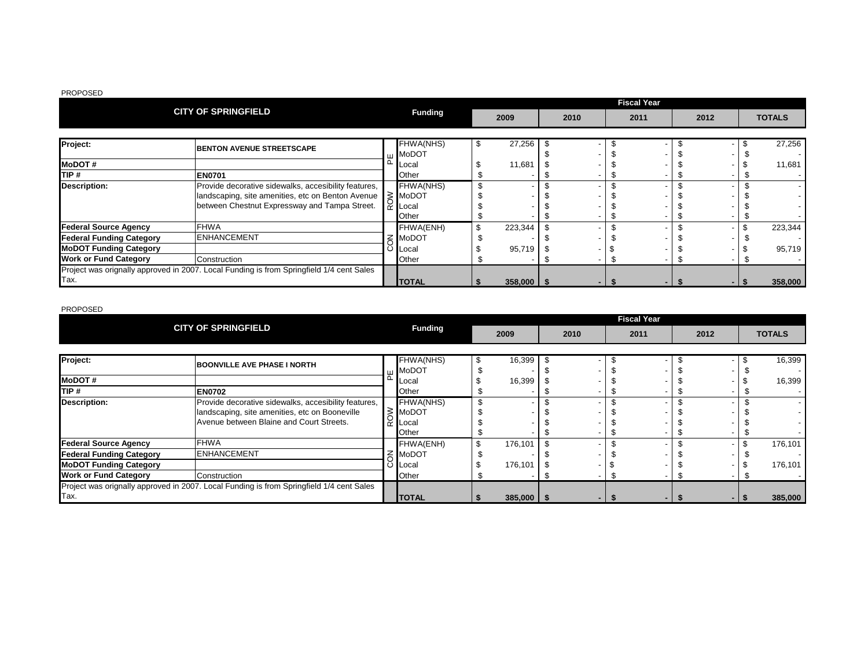|                                 | <b>CITY OF SPRINGFIELD</b>                                                               |  |                             |    |              | <b>Fiscal Year</b> |      |  |      |  |      |               |
|---------------------------------|------------------------------------------------------------------------------------------|--|-----------------------------|----|--------------|--------------------|------|--|------|--|------|---------------|
|                                 |                                                                                          |  | <b>Funding</b>              |    | 2009         |                    | 2010 |  | 2011 |  | 2012 | <b>TOTALS</b> |
|                                 |                                                                                          |  |                             |    |              |                    |      |  |      |  |      |               |
| Project:                        | <b>BENTON AVENUE STREETSCAPE</b>                                                         |  | FHWA(NHS)                   | \$ | 27,256       |                    |      |  |      |  |      | 27,256        |
|                                 |                                                                                          |  | <b>III</b> MoDOT            |    |              |                    |      |  |      |  |      |               |
| <b>MoDOT#</b>                   |                                                                                          |  | <b>Local</b>                |    | 11,681       |                    |      |  |      |  |      | 11,681        |
| TIP#                            | <b>EN0701</b>                                                                            |  | Other                       |    |              |                    |      |  |      |  |      |               |
| <b>Description:</b>             | Provide decorative sidewalks, accesibility features,                                     |  | FHWA(NHS)                   |    |              |                    |      |  |      |  |      |               |
|                                 | landscaping, site amenities, etc on Benton Avenue                                        |  | $\geq$ MoDOT                |    |              |                    |      |  |      |  |      |               |
|                                 | between Chestnut Expressway and Tampa Street.                                            |  | $\breve{\phantom{a}}$ Local |    |              |                    |      |  |      |  |      |               |
|                                 |                                                                                          |  | Other                       |    |              |                    |      |  |      |  |      |               |
| <b>Federal Source Agency</b>    | <b>FHWA</b>                                                                              |  | FHWA(ENH)                   |    | 223,344      |                    |      |  |      |  |      | 223,344       |
| <b>Federal Funding Category</b> | <b>ENHANCEMENT</b>                                                                       |  | <b>MoDOT</b>                |    |              |                    |      |  |      |  |      |               |
| <b>MoDOT Funding Category</b>   |                                                                                          |  | ◯ <b>L</b> ocal             |    | 95,719       |                    |      |  |      |  |      | 95,719        |
| <b>Work or Fund Category</b>    | Construction                                                                             |  | <b>Other</b>                |    |              |                    |      |  |      |  |      |               |
|                                 | Project was orignally approved in 2007. Local Funding is from Springfield 1/4 cent Sales |  |                             |    |              |                    |      |  |      |  |      |               |
| Tax.                            |                                                                                          |  | <b>TOTAL</b>                |    | $358,000$ \$ |                    |      |  |      |  |      | 358,000       |

|                                                                                          |                                                      |  |                     |                |      |      | <b>Fiscal Year</b> |      |  |               |
|------------------------------------------------------------------------------------------|------------------------------------------------------|--|---------------------|----------------|------|------|--------------------|------|--|---------------|
|                                                                                          | <b>CITY OF SPRINGFIELD</b>                           |  | <b>Funding</b>      | 2009           | 2010 | 2011 |                    | 2012 |  | <b>TOTALS</b> |
|                                                                                          |                                                      |  |                     |                |      |      |                    |      |  |               |
| Project:                                                                                 | <b>BOONVILLE AVE PHASE I NORTH</b>                   |  | FHWA(NHS)           | 16,399         |      |      |                    |      |  | 16,399        |
|                                                                                          |                                                      |  | MoDOT               |                |      |      |                    |      |  |               |
| <b>MoDOT#</b>                                                                            |                                                      |  | ⊺Local              | 16,399         |      |      |                    |      |  | 16,399        |
| TIP #                                                                                    | <b>EN0702</b>                                        |  | Other               |                |      |      |                    |      |  |               |
| <b>Description:</b>                                                                      | Provide decorative sidewalks, accesibility features, |  | FHWA(NHS)           |                |      |      |                    |      |  |               |
|                                                                                          | landscaping, site amenities, etc on Booneville       |  | $\geq$ MoDOT        |                |      |      |                    |      |  |               |
|                                                                                          | Avenue between Blaine and Court Streets.             |  | $\frac{1}{2}$ Local |                |      |      |                    |      |  |               |
|                                                                                          |                                                      |  | <b>Other</b>        |                |      |      |                    |      |  |               |
| <b>Federal Source Agency</b>                                                             | <b>FHWA</b>                                          |  | FHWA(ENH)           | \$<br>176,101  |      |      |                    |      |  | 176,101       |
| <b>Federal Funding Category</b>                                                          | <b>ENHANCEMENT</b>                                   |  | 중 MoDOT             |                |      |      |                    |      |  |               |
| <b>MoDOT Funding Category</b>                                                            |                                                      |  | O Local             | 176,101        |      |      |                    |      |  | 176,101       |
| <b>Work or Fund Category</b>                                                             | Construction                                         |  | Other               |                |      |      |                    |      |  |               |
| Project was orignally approved in 2007. Local Funding is from Springfield 1/4 cent Sales |                                                      |  |                     |                |      |      |                    |      |  |               |
| Tax.                                                                                     |                                                      |  | <b>ITOTAL</b>       | $385,000$   \$ |      |      |                    |      |  | 385,000       |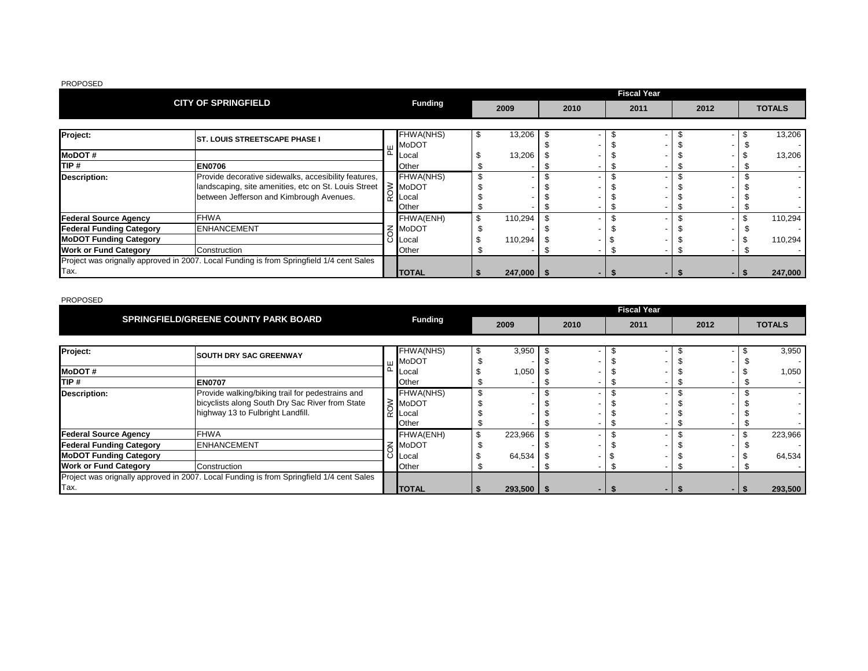|                                                                                          |                                                      |   |                     |                |      |      | <b>Fiscal Year</b> |      |  |               |
|------------------------------------------------------------------------------------------|------------------------------------------------------|---|---------------------|----------------|------|------|--------------------|------|--|---------------|
|                                                                                          | <b>CITY OF SPRINGFIELD</b>                           |   | <b>Funding</b>      | 2009           | 2010 | 2011 |                    | 2012 |  | <b>TOTALS</b> |
|                                                                                          |                                                      |   |                     |                |      |      |                    |      |  |               |
| Project:                                                                                 | <b>ST. LOUIS STREETSCAPE PHASE I</b>                 |   | FHWA(NHS)           | 13,206         |      |      |                    |      |  | 13,206        |
|                                                                                          |                                                      |   | <b>MoDOT</b>        |                |      |      |                    |      |  |               |
| <b>MoDOT#</b>                                                                            |                                                      |   | Local               | 13,206         |      |      |                    |      |  | 13,206        |
| TIP #                                                                                    | <b>EN0706</b>                                        |   | Other               |                |      |      |                    |      |  |               |
| <b>Description:</b>                                                                      | Provide decorative sidewalks, accesibility features, |   | FHWA(NHS)           |                |      |      |                    |      |  |               |
|                                                                                          | landscaping, site amenities, etc on St. Louis Street |   | $\geq$ MoDOT        |                |      |      |                    |      |  |               |
|                                                                                          | between Jefferson and Kimbrough Avenues.             |   | $\tilde{r}$ I Local |                |      |      |                    |      |  |               |
|                                                                                          |                                                      |   | Other               |                |      |      |                    |      |  |               |
| <b>Federal Source Agency</b>                                                             | <b>FHWA</b>                                          |   | FHWA(ENH)           | 110,294        |      |      |                    |      |  | 110,294       |
| <b>Federal Funding Category</b>                                                          | <b>IENHANCEMENT</b>                                  |   | <b>MoDOT</b>        |                |      |      |                    |      |  |               |
| <b>MoDOT Funding Category</b>                                                            |                                                      | O | Local               | 110,294        |      |      |                    |      |  | 110,294       |
| <b>Work or Fund Category</b><br>Construction                                             |                                                      |   | Other               |                |      |      |                    |      |  |               |
| Project was orignally approved in 2007. Local Funding is from Springfield 1/4 cent Sales |                                                      |   |                     |                |      |      |                    |      |  |               |
| Tax.                                                                                     |                                                      |   | <b>TOTAL</b>        | $247,000$ \ \$ |      |      |                    |      |  | 247,000       |

|                                                                                          | <b>SPRINGFIELD/GREENE COUNTY PARK BOARD</b>      |  |                | <b>Fiscal Year</b> |              |  |      |      |  |      |  |  |               |
|------------------------------------------------------------------------------------------|--------------------------------------------------|--|----------------|--------------------|--------------|--|------|------|--|------|--|--|---------------|
|                                                                                          |                                                  |  | <b>Funding</b> |                    | 2009         |  | 2010 | 2011 |  | 2012 |  |  | <b>TOTALS</b> |
| Project:                                                                                 |                                                  |  | FHWA(NHS)      |                    | 3,950        |  |      |      |  |      |  |  | 3,950         |
|                                                                                          | <b>SOUTH DRY SAC GREENWAY</b>                    |  | <b>MoDOT</b>   |                    |              |  |      |      |  |      |  |  |               |
| <b>MoDOT#</b>                                                                            |                                                  |  | ∟ocal          |                    | 1,050        |  |      |      |  |      |  |  | 1,050         |
| TIP #                                                                                    | <b>EN0707</b>                                    |  | Other          |                    |              |  |      |      |  |      |  |  |               |
| <b>Description:</b>                                                                      | Provide walking/biking trail for pedestrains and |  | FHWA(NHS)      |                    |              |  |      |      |  |      |  |  |               |
|                                                                                          | bicyclists along South Dry Sac River from State  |  | ≥ MoDOT        |                    |              |  |      |      |  |      |  |  |               |
|                                                                                          | highway 13 to Fulbright Landfill.                |  | ∟ocal          |                    |              |  |      |      |  |      |  |  |               |
|                                                                                          |                                                  |  | Other          |                    |              |  |      |      |  |      |  |  |               |
| <b>Federal Source Agency</b>                                                             | <b>FHWA</b>                                      |  | FHWA(ENH)      |                    | 223,966      |  |      |      |  |      |  |  | 223,966       |
| <b>Federal Funding Category</b>                                                          | <b>ENHANCEMENT</b>                               |  | <b>MoDOT</b>   |                    |              |  |      |      |  |      |  |  |               |
| <b>MoDOT Funding Category</b>                                                            |                                                  |  | ∟ocal          |                    | 64,534       |  |      |      |  |      |  |  | 64,534        |
| <b>Work or Fund Category</b>                                                             | Construction                                     |  | Other          |                    |              |  |      |      |  |      |  |  |               |
| Project was orignally approved in 2007. Local Funding is from Springfield 1/4 cent Sales |                                                  |  |                |                    |              |  |      |      |  |      |  |  |               |
| Tax.                                                                                     |                                                  |  | <b>TOTAL</b>   |                    | $293,500$ \$ |  |      |      |  |      |  |  | 293,500       |